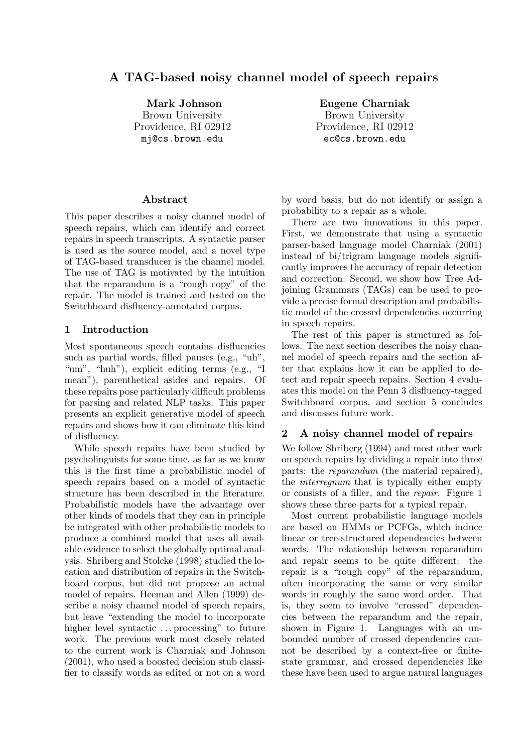# A TAG-based noisy channel model of speech repairs

Mark Johnson Brown University Providence, RI 02912 mj@cs.brown.edu

Eugene Charniak Brown University Providence, RI 02912 ec@cs.brown.edu

#### Abstract

This paper describes a noisy channel model of speech repairs, which can identify and correct repairs in speech transcripts. A syntactic parser is used as the source model, and a novel type of TAG-based transducer is the channel model. The use of TAG is motivated by the intuition that the reparandum is a "rough copy" of the repair. The model is trained and tested on the Switchboard disfluency-annotated corpus.

### 1 Introduction

Most spontaneous speech contains disfluencies such as partial words, filled pauses (e.g., "uh", "um", "huh"), explicit editing terms (e.g., "I mean"), parenthetical asides and repairs. Of these repairs pose particularly difficult problems for parsing and related NLP tasks. This paper presents an explicit generative model of speech repairs and shows how it can eliminate this kind of disfluency.

While speech repairs have been studied by psycholinguists for some time, as far as we know this is the first time a probabilistic model of speech repairs based on a model of syntactic structure has been described in the literature. Probabilistic models have the advantage over other kinds of models that they can in principle be integrated with other probabilistic models to produce a combined model that uses all available evidence to select the globally optimal analysis. Shriberg and Stolcke (1998) studied the location and distribution of repairs in the Switchboard corpus, but did not propose an actual model of repairs. Heeman and Allen (1999) describe a noisy channel model of speech repairs, but leave "extending the model to incorporate higher level syntactic ... processing" to future work. The previous work most closely related to the current work is Charniak and Johnson (2001), who used a boosted decision stub classifier to classify words as edited or not on a word by word basis, but do not identify or assign a probability to a repair as a whole.

There are two innovations in this paper. First, we demonstrate that using a syntactic parser-based language model Charniak (2001) instead of bi/trigram language models significantly improves the accuracy of repair detection and correction. Second, we show how Tree Adjoining Grammars (TAGs) can be used to provide a precise formal description and probabilistic model of the crossed dependencies occurring in speech repairs.

The rest of this paper is structured as follows. The next section describes the noisy channel model of speech repairs and the section after that explains how it can be applied to detect and repair speech repairs. Section 4 evaluates this model on the Penn 3 disfluency-tagged Switchboard corpus, and section 5 concludes and discusses future work.

### 2 A noisy channel model of repairs

We follow Shriberg (1994) and most other work on speech repairs by dividing a repair into three parts: the *reparandum* (the material repaired), the interregnum that is typically either empty or consists of a filler, and the repair. Figure 1 shows these three parts for a typical repair.

Most current probabilistic language models are based on HMMs or PCFGs, which induce linear or tree-structured dependencies between words. The relationship between reparandum and repair seems to be quite different: the repair is a "rough copy" of the reparandum, often incorporating the same or very similar words in roughly the same word order. That is, they seem to involve "crossed" dependencies between the reparandum and the repair, shown in Figure 1. Languages with an unbounded number of crossed dependencies cannot be described by a context-free or finitestate grammar, and crossed dependencies like these have been used to argue natural languages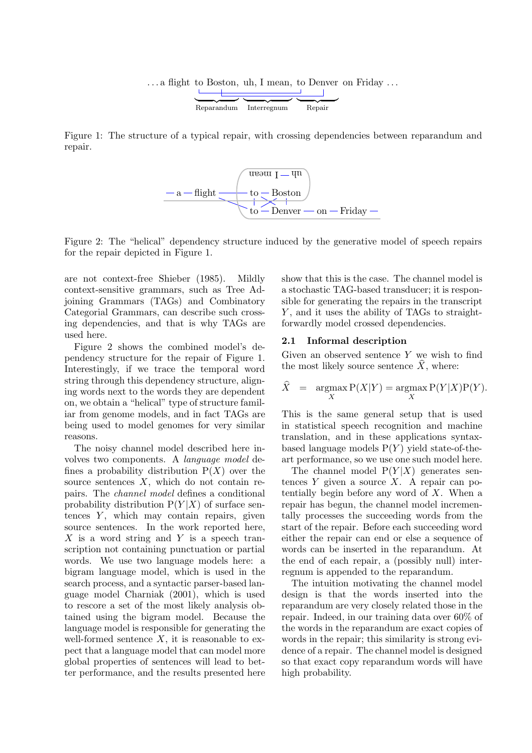. . . a flight to Boston, uh, I mean, to Denver on Friday . . .  $\longrightarrow$   $\qquad \qquad \longleftarrow$ Reparandum  $\overline{\phantom{a}}$ Interregnum  $\Longrightarrow$ Repair

Figure 1: The structure of a typical repair, with crossing dependencies between reparandum and repair.



Figure 2: The "helical" dependency structure induced by the generative model of speech repairs for the repair depicted in Figure 1.

are not context-free Shieber (1985). Mildly context-sensitive grammars, such as Tree Adjoining Grammars (TAGs) and Combinatory Categorial Grammars, can describe such crossing dependencies, and that is why TAGs are used here.

Figure 2 shows the combined model's dependency structure for the repair of Figure 1. Interestingly, if we trace the temporal word string through this dependency structure, aligning words next to the words they are dependent on, we obtain a "helical" type of structure familiar from genome models, and in fact TAGs are being used to model genomes for very similar reasons.

The noisy channel model described here involves two components. A language model defines a probability distribution  $P(X)$  over the source sentences  $X$ , which do not contain repairs. The channel model defines a conditional probability distribution  $P(Y|X)$  of surface sentences  $Y$ , which may contain repairs, given source sentences. In the work reported here, X is a word string and Y is a speech transcription not containing punctuation or partial words. We use two language models here: a bigram language model, which is used in the search process, and a syntactic parser-based language model Charniak (2001), which is used to rescore a set of the most likely analysis obtained using the bigram model. Because the language model is responsible for generating the well-formed sentence  $X$ , it is reasonable to expect that a language model that can model more global properties of sentences will lead to better performance, and the results presented here show that this is the case. The channel model is a stochastic TAG-based transducer; it is responsible for generating the repairs in the transcript Y, and it uses the ability of TAGs to straightforwardly model crossed dependencies.

#### 2.1 Informal description

Given an observed sentence  $Y$  we wish to find the most likely source sentence  $\widehat{X}$ , where:

$$
\widehat{X} = \underset{X}{\operatorname{argmax}} P(X|Y) = \underset{X}{\operatorname{argmax}} P(Y|X)P(Y).
$$

This is the same general setup that is used in statistical speech recognition and machine translation, and in these applications syntaxbased language models  $P(Y)$  yield state-of-theart performance, so we use one such model here.

The channel model  $P(Y|X)$  generates sentences  $Y$  given a source  $X$ . A repair can potentially begin before any word of  $X$ . When a repair has begun, the channel model incrementally processes the succeeding words from the start of the repair. Before each succeeding word either the repair can end or else a sequence of words can be inserted in the reparandum. At the end of each repair, a (possibly null) interregnum is appended to the reparandum.

The intuition motivating the channel model design is that the words inserted into the reparandum are very closely related those in the repair. Indeed, in our training data over 60% of the words in the reparandum are exact copies of words in the repair; this similarity is strong evidence of a repair. The channel model is designed so that exact copy reparandum words will have high probability.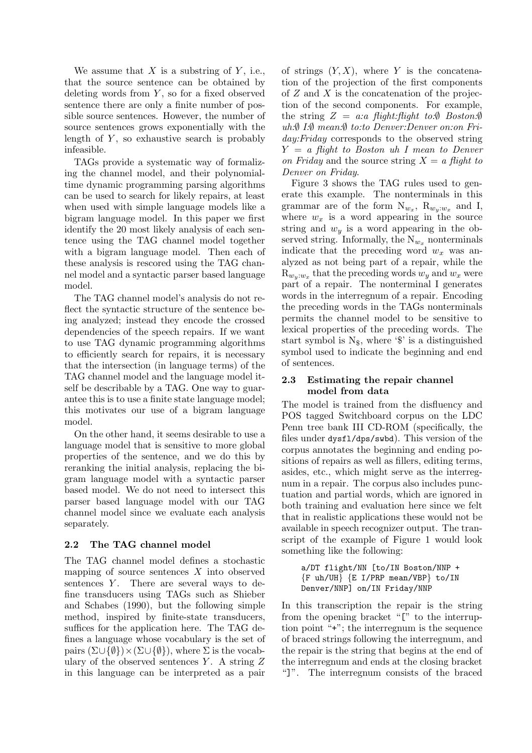We assume that  $X$  is a substring of  $Y$ , i.e., that the source sentence can be obtained by deleting words from  $Y$ , so for a fixed observed sentence there are only a finite number of possible source sentences. However, the number of source sentences grows exponentially with the length of  $Y$ , so exhaustive search is probably infeasible.

TAGs provide a systematic way of formalizing the channel model, and their polynomialtime dynamic programming parsing algorithms can be used to search for likely repairs, at least when used with simple language models like a bigram language model. In this paper we first identify the 20 most likely analysis of each sentence using the TAG channel model together with a bigram language model. Then each of these analysis is rescored using the TAG channel model and a syntactic parser based language model.

The TAG channel model's analysis do not reflect the syntactic structure of the sentence being analyzed; instead they encode the crossed dependencies of the speech repairs. If we want to use TAG dynamic programming algorithms to efficiently search for repairs, it is necessary that the intersection (in language terms) of the TAG channel model and the language model itself be describable by a TAG. One way to guarantee this is to use a finite state language model; this motivates our use of a bigram language model.

On the other hand, it seems desirable to use a language model that is sensitive to more global properties of the sentence, and we do this by reranking the initial analysis, replacing the bigram language model with a syntactic parser based model. We do not need to intersect this parser based language model with our TAG channel model since we evaluate each analysis separately.

# 2.2 The TAG channel model

The TAG channel model defines a stochastic mapping of source sentences  $X$  into observed sentences  $Y$ . There are several ways to define transducers using TAGs such as Shieber and Schabes (1990), but the following simple method, inspired by finite-state transducers, suffices for the application here. The TAG defines a language whose vocabulary is the set of pairs  $(\Sigma \cup \{\emptyset\}) \times (\Sigma \cup \{\emptyset\})$ , where  $\Sigma$  is the vocabulary of the observed sentences Y. A string  $Z$ in this language can be interpreted as a pair of strings  $(Y, X)$ , where Y is the concatenation of the projection of the first components of  $Z$  and  $X$  is the concatenation of the projection of the second components. For example, the string  $Z = a:a$  flight: flight to: $\emptyset$  Boston: $\emptyset$ uh:**∅** I:**Ø** mean:**Ø** to:to Denver:Denver on:on Friday: Friday corresponds to the observed string  $Y = a$  flight to Boston uh I mean to Denver on Friday and the source string  $X = a$  flight to Denver on Friday.

Figure 3 shows the TAG rules used to generate this example. The nonterminals in this grammar are of the form  $N_{w_x}$ ,  $R_{w_y:w_x}$  and I, where  $w_x$  is a word appearing in the source string and  $w_y$  is a word appearing in the observed string. Informally, the  $N_{w_x}$  nonterminals indicate that the preceding word  $w_x$  was analyzed as not being part of a repair, while the  $\mathrm{R}_{w_y:w_x}$  that the preceding words  $w_y$  and  $w_x$  were part of a repair. The nonterminal I generates words in the interregnum of a repair. Encoding the preceding words in the TAGs nonterminals permits the channel model to be sensitive to lexical properties of the preceding words. The start symbol is  $N_{\$}$ , where ' $\$$ ' is a distinguished symbol used to indicate the beginning and end of sentences.

## 2.3 Estimating the repair channel model from data

The model is trained from the disfluency and POS tagged Switchboard corpus on the LDC Penn tree bank III CD-ROM (specifically, the files under dysfl/dps/swbd). This version of the corpus annotates the beginning and ending positions of repairs as well as fillers, editing terms, asides, etc., which might serve as the interregnum in a repair. The corpus also includes punctuation and partial words, which are ignored in both training and evaluation here since we felt that in realistic applications these would not be available in speech recognizer output. The transcript of the example of Figure 1 would look something like the following:

a/DT flight/NN [to/IN Boston/NNP +  ${F uh/UH}$   ${E I/PRP mean/VBP}$  to/IN Denver/NNP] on/IN Friday/NNP

In this transcription the repair is the string from the opening bracket "[" to the interruption point "+"; the interregnum is the sequence of braced strings following the interregnum, and the repair is the string that begins at the end of the interregnum and ends at the closing bracket "]". The interregnum consists of the braced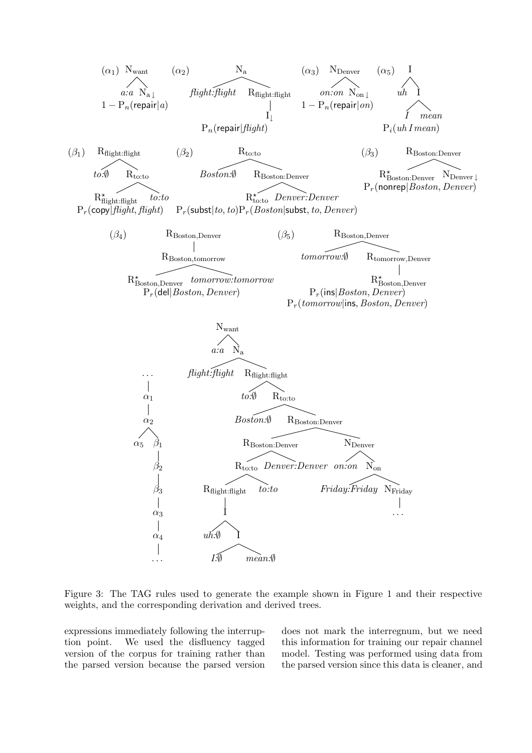

Figure 3: The TAG rules used to generate the example shown in Figure 1 and their respective weights, and the corresponding derivation and derived trees.

expressions immediately following the interruption point. We used the disfluency tagged version of the corpus for training rather than the parsed version because the parsed version

does not mark the interregnum, but we need this information for training our repair channel model. Testing was performed using data from the parsed version since this data is cleaner, and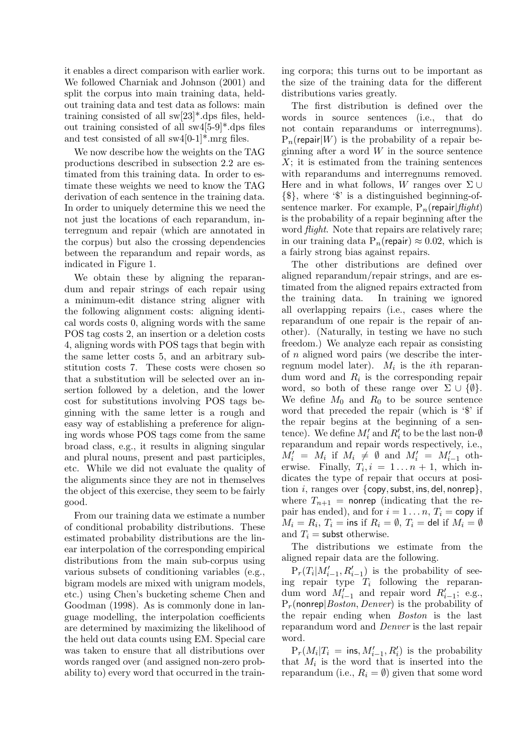it enables a direct comparison with earlier work. We followed Charniak and Johnson (2001) and split the corpus into main training data, heldout training data and test data as follows: main training consisted of all sw[23]\*.dps files, heldout training consisted of all sw4[5-9]\*.dps files and test consisted of all  $sw4[0-1]*mrg$  files.

We now describe how the weights on the TAG productions described in subsection 2.2 are estimated from this training data. In order to estimate these weights we need to know the TAG derivation of each sentence in the training data. In order to uniquely determine this we need the not just the locations of each reparandum, interregnum and repair (which are annotated in the corpus) but also the crossing dependencies between the reparandum and repair words, as indicated in Figure 1.

We obtain these by aligning the reparandum and repair strings of each repair using a minimum-edit distance string aligner with the following alignment costs: aligning identical words costs 0, aligning words with the same POS tag costs 2, an insertion or a deletion costs 4, aligning words with POS tags that begin with the same letter costs 5, and an arbitrary substitution costs 7. These costs were chosen so that a substitution will be selected over an insertion followed by a deletion, and the lower cost for substitutions involving POS tags beginning with the same letter is a rough and easy way of establishing a preference for aligning words whose POS tags come from the same broad class, e.g., it results in aligning singular and plural nouns, present and past participles, etc. While we did not evaluate the quality of the alignments since they are not in themselves the object of this exercise, they seem to be fairly good.

From our training data we estimate a number of conditional probability distributions. These estimated probability distributions are the linear interpolation of the corresponding empirical distributions from the main sub-corpus using various subsets of conditioning variables (e.g., bigram models are mixed with unigram models, etc.) using Chen's bucketing scheme Chen and Goodman (1998). As is commonly done in language modelling, the interpolation coefficients are determined by maximizing the likelihood of the held out data counts using EM. Special care was taken to ensure that all distributions over words ranged over (and assigned non-zero probability to) every word that occurred in the training corpora; this turns out to be important as the size of the training data for the different distributions varies greatly.

The first distribution is defined over the words in source sentences (i.e., that do not contain reparandums or interregnums).  $P_n$ (repair $|W\rangle$  is the probability of a repair beginning after a word  $W$  in the source sentence  $X$ ; it is estimated from the training sentences with reparandums and interregnums removed. Here and in what follows, W ranges over  $\Sigma \cup$ {\$}, where '\$' is a distinguished beginning-ofsentence marker. For example,  $P_n$ (repair $|flight\rangle$ is the probability of a repair beginning after the word *flight*. Note that repairs are relatively rare; in our training data  $P_n$ (repair)  $\approx 0.02$ , which is a fairly strong bias against repairs.

The other distributions are defined over aligned reparandum/repair strings, and are estimated from the aligned repairs extracted from the training data. In training we ignored all overlapping repairs (i.e., cases where the reparandum of one repair is the repair of another). (Naturally, in testing we have no such freedom.) We analyze each repair as consisting of n aligned word pairs (we describe the interregnum model later).  $M_i$  is the *i*th reparandum word and  $R_i$  is the corresponding repair word, so both of these range over  $\Sigma \cup \{\emptyset\}$ . We define  $M_0$  and  $R_0$  to be source sentence word that preceded the repair (which is '\$' if the repair begins at the beginning of a sentence). We define  $M'_i$  and  $R'_i$  to be the last non-Ø reparandum and repair words respectively, i.e.,  $M'_i = M_i$  if  $M_i \neq \emptyset$  and  $M'_i = M'_{i-1}$  otherwise. Finally,  $T_i$ ,  $i = 1...n + 1$ , which indicates the type of repair that occurs at position i, ranges over {copy, subst, ins, del, nonrep}, where  $T_{n+1}$  = nonrep (indicating that the repair has ended), and for  $i = 1 \ldots n$ ,  $T_i = \text{copy if}$  $M_i=R_i,\,T_i=$  ins if  $R_i=\emptyset,\,T_i=$  del if  $M_i=\emptyset$ and  $T_i$  = subst otherwise.

The distributions we estimate from the aligned repair data are the following.

 $P_r(T_i|M'_{i-1}, R'_{i-1})$  is the probability of seeing repair type  $T_i$  following the reparandum word  $M'_{i-1}$  and repair word  $R'_{i-1}$ ; e.g.,  $P_r$ (nonrep|*Boston, Denver*) is the probability of the repair ending when Boston is the last reparandum word and Denver is the last repair word.

 $\Pr(M_i|T_i = \text{ins}, M'_{i-1}, R'_i)$  is the probability that  $M_i$  is the word that is inserted into the reparandum (i.e.,  $R_i = \emptyset$ ) given that some word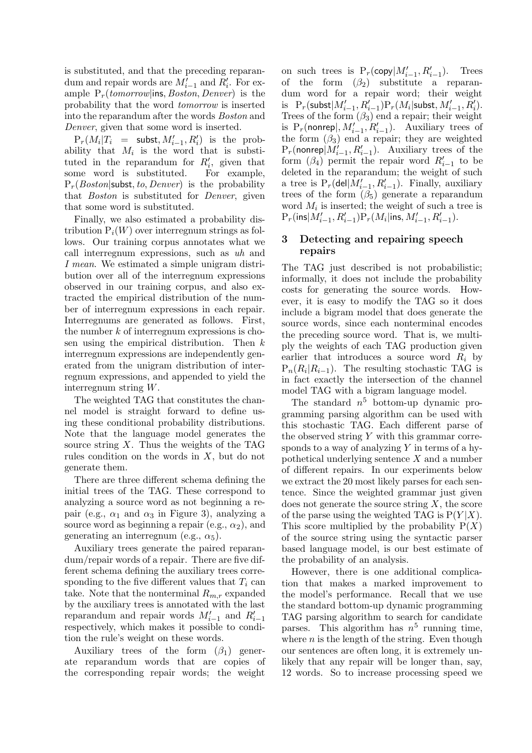is substituted, and that the preceding reparandum and repair words are  $M'_{i-1}$  and  $R'_{i}$ . For example  $P_r(tomorrow|$ ins, *Boston*, *Denver*) is the probability that the word tomorrow is inserted into the reparandum after the words Boston and Denver, given that some word is inserted.

 $\Pr(M_i|T_i = \text{subst}, M'_{i-1}, R'_i)$  is the probability that  $M_i$  is the word that is substituted in the reparandum for  $R'_i$ , given that some word is substituted. For example,  $P_r(Boston|$ subst, to, Denver) is the probability that Boston is substituted for Denver, given that some word is substituted.

Finally, we also estimated a probability distribution  $P_i(W)$  over interregnum strings as follows. Our training corpus annotates what we call interregnum expressions, such as uh and I mean. We estimated a simple unigram distribution over all of the interregnum expressions observed in our training corpus, and also extracted the empirical distribution of the number of interregnum expressions in each repair. Interregnums are generated as follows. First, the number  $k$  of interregnum expressions is chosen using the empirical distribution. Then k interregnum expressions are independently generated from the unigram distribution of interregnum expressions, and appended to yield the interregnum string W.

The weighted TAG that constitutes the channel model is straight forward to define using these conditional probability distributions. Note that the language model generates the source string  $X$ . Thus the weights of the TAG rules condition on the words in  $X$ , but do not generate them.

There are three different schema defining the initial trees of the TAG. These correspond to analyzing a source word as not beginning a repair (e.g.,  $\alpha_1$  and  $\alpha_3$  in Figure 3), analyzing a source word as beginning a repair (e.g.,  $\alpha_2$ ), and generating an interregnum (e.g.,  $\alpha_5$ ).

Auxiliary trees generate the paired reparandum/repair words of a repair. There are five different schema defining the auxiliary trees corresponding to the five different values that  $T_i$  can take. Note that the nonterminal  $R_{m,r}$  expanded by the auxiliary trees is annotated with the last reparandum and repair words  $M'_{i-1}$  and  $R'_{i-1}$ respectively, which makes it possible to condition the rule's weight on these words.

Auxiliary trees of the form  $(\beta_1)$  generate reparandum words that are copies of the corresponding repair words; the weight on such trees is  $P_r(\text{copy}|M'_{i-1}, R'_{i-1})$ ). Trees of the form  $(\beta_2)$  substitute a reparandum word for a repair word; their weight is  $P_r(\textsf{subst}|M'_{i-1}, R'_{i-1}) P_r(M_i|\textsf{subst}, M'_{i-1}, R'_i).$ Trees of the form  $(\beta_3)$  end a repair; their weight is  $P_r(\text{nonrep}|, M'_{i-1}, R'_{i-1})$ . Auxiliary trees of the form  $(\beta_3)$  end a repair; they are weighted  $P_r(\text{nonrep}|M'_{i-1}, R'_{i-1})$ . Auxiliary trees of the form  $(\beta_4)$  permit the repair word  $R'_{i-1}$  to be deleted in the reparandum; the weight of such a tree is  $P_r$ (del $|M'_{i-1}, R'_{i-1}$ ). Finally, auxiliary trees of the form  $(\beta_5)$  generate a reparandum word  $M_i$  is inserted; the weight of such a tree is  $Pr(\textsf{ins}|M'_{i-1}, R'_{i-1}) Pr(M_i | \textsf{ins}, M'_{i-1}, R'_{i-1}).$ 

# 3 Detecting and repairing speech repairs

The TAG just described is not probabilistic; informally, it does not include the probability costs for generating the source words. However, it is easy to modify the TAG so it does include a bigram model that does generate the source words, since each nonterminal encodes the preceding source word. That is, we multiply the weights of each TAG production given earlier that introduces a source word  $R_i$  by  $P_n(R_i|R_{i-1})$ . The resulting stochastic TAG is in fact exactly the intersection of the channel model TAG with a bigram language model.

The standard  $n^5$  bottom-up dynamic programming parsing algorithm can be used with this stochastic TAG. Each different parse of the observed string Y with this grammar corresponds to a way of analyzing  $Y$  in terms of a hypothetical underlying sentence X and a number of different repairs. In our experiments below we extract the 20 most likely parses for each sentence. Since the weighted grammar just given does not generate the source string  $X$ , the score of the parse using the weighted TAG is  $P(Y|X)$ . This score multiplied by the probability  $P(X)$ of the source string using the syntactic parser based language model, is our best estimate of the probability of an analysis.

However, there is one additional complication that makes a marked improvement to the model's performance. Recall that we use the standard bottom-up dynamic programming TAG parsing algorithm to search for candidate parses. This algorithm has  $n<sup>5</sup>$  running time, where  $n$  is the length of the string. Even though our sentences are often long, it is extremely unlikely that any repair will be longer than, say, 12 words. So to increase processing speed we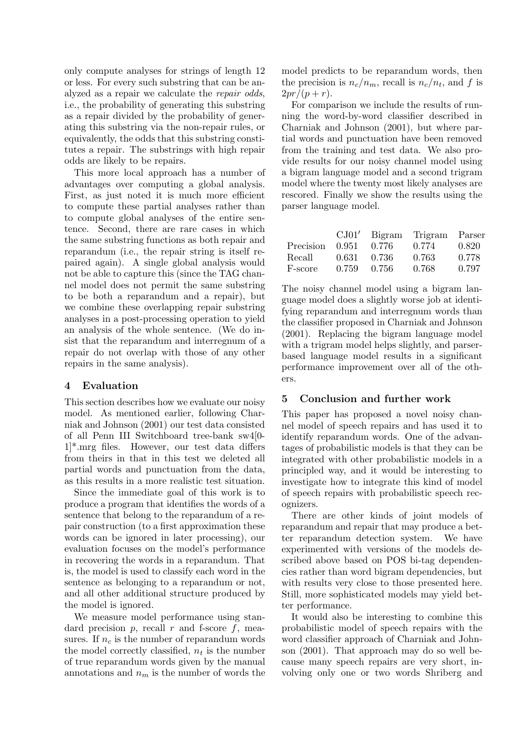only compute analyses for strings of length 12 or less. For every such substring that can be analyzed as a repair we calculate the repair odds, i.e., the probability of generating this substring as a repair divided by the probability of generating this substring via the non-repair rules, or equivalently, the odds that this substring constitutes a repair. The substrings with high repair odds are likely to be repairs.

This more local approach has a number of advantages over computing a global analysis. First, as just noted it is much more efficient to compute these partial analyses rather than to compute global analyses of the entire sentence. Second, there are rare cases in which the same substring functions as both repair and reparandum (i.e., the repair string is itself repaired again). A single global analysis would not be able to capture this (since the TAG channel model does not permit the same substring to be both a reparandum and a repair), but we combine these overlapping repair substring analyses in a post-processing operation to yield an analysis of the whole sentence. (We do insist that the reparandum and interregnum of a repair do not overlap with those of any other repairs in the same analysis).

### 4 Evaluation

This section describes how we evaluate our noisy model. As mentioned earlier, following Charniak and Johnson (2001) our test data consisted of all Penn III Switchboard tree-bank sw4[0- 1]\*.mrg files. However, our test data differs from theirs in that in this test we deleted all partial words and punctuation from the data, as this results in a more realistic test situation.

Since the immediate goal of this work is to produce a program that identifies the words of a sentence that belong to the reparandum of a repair construction (to a first approximation these words can be ignored in later processing), our evaluation focuses on the model's performance in recovering the words in a reparandum. That is, the model is used to classify each word in the sentence as belonging to a reparandum or not, and all other additional structure produced by the model is ignored.

We measure model performance using standard precision  $p$ , recall  $r$  and f-score  $f$ , measures. If  $n_c$  is the number of reparandum words the model correctly classified,  $n_t$  is the number of true reparandum words given by the manual annotations and  $n_m$  is the number of words the

model predicts to be reparandum words, then the precision is  $n_c/n_m$ , recall is  $n_c/n_t$ , and f is  $2pr/(p + r)$ .

For comparison we include the results of running the word-by-word classifier described in Charniak and Johnson (2001), but where partial words and punctuation have been removed from the training and test data. We also provide results for our noisy channel model using a bigram language model and a second trigram model where the twenty most likely analyses are rescored. Finally we show the results using the parser language model.

|           |       |         | $CJ01'$ Bigram Trigram Parser |       |
|-----------|-------|---------|-------------------------------|-------|
| Precision | 0.951 | 0.776   | 0.774                         | 0.820 |
| Recall    | 0.631 | - 0.736 | 0.763                         | 0.778 |
| F-score   | 0.759 | -0.756  | 0.768                         | 0.797 |

The noisy channel model using a bigram language model does a slightly worse job at identifying reparandum and interregnum words than the classifier proposed in Charniak and Johnson (2001). Replacing the bigram language model with a trigram model helps slightly, and parserbased language model results in a significant performance improvement over all of the others.

### 5 Conclusion and further work

This paper has proposed a novel noisy channel model of speech repairs and has used it to identify reparandum words. One of the advantages of probabilistic models is that they can be integrated with other probabilistic models in a principled way, and it would be interesting to investigate how to integrate this kind of model of speech repairs with probabilistic speech recognizers.

There are other kinds of joint models of reparandum and repair that may produce a better reparandum detection system. We have experimented with versions of the models described above based on POS bi-tag dependencies rather than word bigram dependencies, but with results very close to those presented here. Still, more sophisticated models may yield better performance.

It would also be interesting to combine this probabilistic model of speech repairs with the word classifier approach of Charniak and Johnson (2001). That approach may do so well because many speech repairs are very short, involving only one or two words Shriberg and